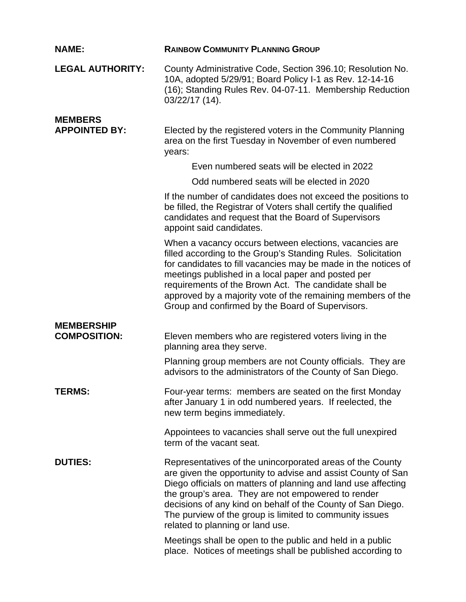| <b>NAME:</b>                             | <b>RAINBOW COMMUNITY PLANNING GROUP</b>                                                                                                                                                                                                                                                                                                                                                                                    |
|------------------------------------------|----------------------------------------------------------------------------------------------------------------------------------------------------------------------------------------------------------------------------------------------------------------------------------------------------------------------------------------------------------------------------------------------------------------------------|
| <b>LEGAL AUTHORITY:</b>                  | County Administrative Code, Section 396.10; Resolution No.<br>10A, adopted 5/29/91; Board Policy I-1 as Rev. 12-14-16<br>(16); Standing Rules Rev. 04-07-11. Membership Reduction<br>03/22/17 (14).                                                                                                                                                                                                                        |
| <b>MEMBERS</b><br><b>APPOINTED BY:</b>   | Elected by the registered voters in the Community Planning<br>area on the first Tuesday in November of even numbered<br>years:                                                                                                                                                                                                                                                                                             |
|                                          | Even numbered seats will be elected in 2022                                                                                                                                                                                                                                                                                                                                                                                |
|                                          | Odd numbered seats will be elected in 2020                                                                                                                                                                                                                                                                                                                                                                                 |
|                                          | If the number of candidates does not exceed the positions to<br>be filled, the Registrar of Voters shall certify the qualified<br>candidates and request that the Board of Supervisors<br>appoint said candidates.                                                                                                                                                                                                         |
|                                          | When a vacancy occurs between elections, vacancies are<br>filled according to the Group's Standing Rules. Solicitation<br>for candidates to fill vacancies may be made in the notices of<br>meetings published in a local paper and posted per<br>requirements of the Brown Act. The candidate shall be<br>approved by a majority vote of the remaining members of the<br>Group and confirmed by the Board of Supervisors. |
| <b>MEMBERSHIP</b><br><b>COMPOSITION:</b> | Eleven members who are registered voters living in the<br>planning area they serve.                                                                                                                                                                                                                                                                                                                                        |
|                                          | Planning group members are not County officials. They are<br>advisors to the administrators of the County of San Diego.                                                                                                                                                                                                                                                                                                    |
| <b>TERMS:</b>                            | Four-year terms: members are seated on the first Monday<br>after January 1 in odd numbered years. If reelected, the<br>new term begins immediately.                                                                                                                                                                                                                                                                        |
|                                          | Appointees to vacancies shall serve out the full unexpired<br>term of the vacant seat.                                                                                                                                                                                                                                                                                                                                     |
| <b>DUTIES:</b>                           | Representatives of the unincorporated areas of the County<br>are given the opportunity to advise and assist County of San<br>Diego officials on matters of planning and land use affecting<br>the group's area. They are not empowered to render<br>decisions of any kind on behalf of the County of San Diego.<br>The purview of the group is limited to community issues<br>related to planning or land use.             |
|                                          | Meetings shall be open to the public and held in a public<br>place. Notices of meetings shall be published according to                                                                                                                                                                                                                                                                                                    |